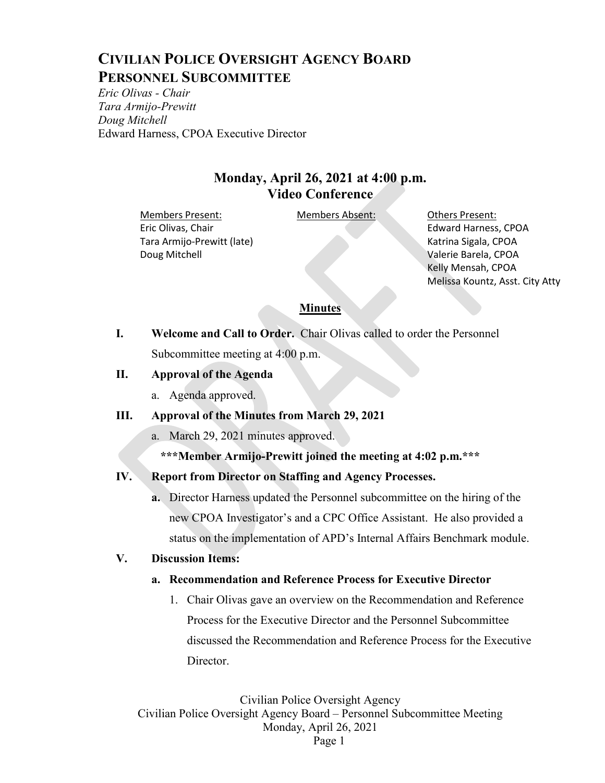# **CIVILIAN POLICE OVERSIGHT AGENCY BOARD PERSONNEL SUBCOMMITTEE**

*Eric Olivas - Chair Tara Armijo-Prewitt Doug Mitchell* Edward Harness, CPOA Executive Director

# **Monday, April 26, 2021 at 4:00 p.m. Video Conference**

Members Present: Members Absent: Others Present: Eric Olivas, Chair Tara Armijo-Prewitt (late) Doug Mitchell

Edward Harness, CPOA Katrina Sigala, CPOA Valerie Barela, CPOA Kelly Mensah, CPOA Melissa Kountz, Asst. City Atty

#### **Minutes**

**I. Welcome and Call to Order.** Chair Olivas called to order the Personnel Subcommittee meeting at 4:00 p.m.

#### **II. Approval of the Agenda**

a. Agenda approved.

#### **III. Approval of the Minutes from March 29, 2021**

- a. March 29, 2021 minutes approved.
	- **\*\*\*Member Armijo-Prewitt joined the meeting at 4:02 p.m.\*\*\***

## **IV. Report from Director on Staffing and Agency Processes.**

**a.** Director Harness updated the Personnel subcommittee on the hiring of the new CPOA Investigator's and a CPC Office Assistant. He also provided a status on the implementation of APD's Internal Affairs Benchmark module.

#### **V. Discussion Items:**

## **a. Recommendation and Reference Process for Executive Director**

1. Chair Olivas gave an overview on the Recommendation and Reference Process for the Executive Director and the Personnel Subcommittee discussed the Recommendation and Reference Process for the Executive Director.

Civilian Police Oversight Agency Civilian Police Oversight Agency Board – Personnel Subcommittee Meeting Monday, April 26, 2021 Page 1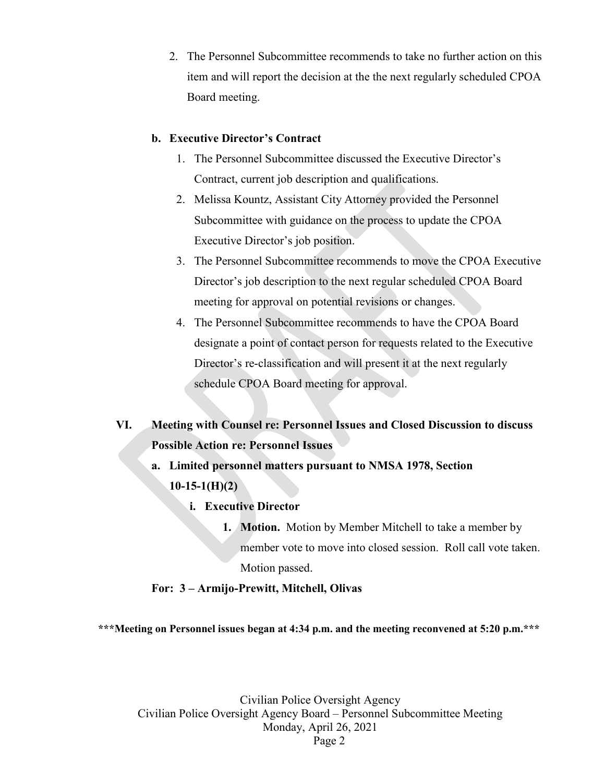2. The Personnel Subcommittee recommends to take no further action on this item and will report the decision at the the next regularly scheduled CPOA Board meeting.

#### **b. Executive Director's Contract**

- 1. The Personnel Subcommittee discussed the Executive Director's Contract, current job description and qualifications.
- 2. Melissa Kountz, Assistant City Attorney provided the Personnel Subcommittee with guidance on the process to update the CPOA Executive Director's job position.
- 3. The Personnel Subcommittee recommends to move the CPOA Executive Director's job description to the next regular scheduled CPOA Board meeting for approval on potential revisions or changes.
- 4. The Personnel Subcommittee recommends to have the CPOA Board designate a point of contact person for requests related to the Executive Director's re-classification and will present it at the next regularly schedule CPOA Board meeting for approval.

**VI. Meeting with Counsel re: Personnel Issues and Closed Discussion to discuss Possible Action re: Personnel Issues**

- **a. Limited personnel matters pursuant to NMSA 1978, Section 10-15-1(H)(2)** 
	- **i. Executive Director**
		- **1. Motion.** Motion by Member Mitchell to take a member by member vote to move into closed session. Roll call vote taken. Motion passed.

#### **For: 3 – Armijo-Prewitt, Mitchell, Olivas**

**\*\*\*Meeting on Personnel issues began at 4:34 p.m. and the meeting reconvened at 5:20 p.m.\*\*\***

Civilian Police Oversight Agency Civilian Police Oversight Agency Board – Personnel Subcommittee Meeting Monday, April 26, 2021 Page 2